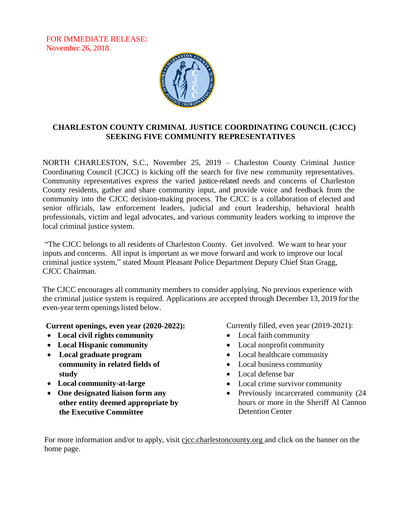FOR IMMEDIATE RELEASE: November 26, 2018



## **CHARLESTON COUNTY CRIMINAL JUSTICE COORDINATING COUNCIL (CJCC) SEEKING FIVE COMMUNITY REPRESENTATIVES**

NORTH CHARLESTON, S.C., November 25, 2019 – Charleston County Criminal Justice Coordinating Council (CJCC) is kicking off the search for five new community representatives. Community representatives express the varied justice-related needs and concerns of Charleston County residents, gather and share community input, and provide voice and feedback from the community into the CJCC decision-making process. The CJCC is a collaboration of elected and senior officials, law enforcement leaders, judicial and court leadership, behavioral health professionals, victim and legal advocates, and various community leaders working to improve the local criminal justice system.

"The CJCC belongs to all residents of Charleston County. Get involved. We want to hear your inputs and concerns. All input is important as we move forward and work to improve our local criminal justice system," stated Mount Pleasant Police Department Deputy Chief Stan Gragg, CJCC Chairman.

The CJCC encourages all community members to consider applying. No previous experience with the criminal justice system is required. Applications are accepted through December 13, 2019 for the even-year term openings listed below.

**Current openings, even year (2020-2022):**

- **Local civil rights community**
- **Local Hispanic community**
- **Local graduate program community in related fields of study**
- **Local community-at-large**
- **One designated liaison form any other entity deemed appropriate by the Executive Committee**

Currently filled, even year (2019-2021):

- Local faith community
- Local nonprofit community
- Local healthcare community
- Local business community
- Local defense bar
- Local crime survivor community
- Previously incarcerated community (24 hours or more in the Sheriff Al Cannon Detention Center

For more information and/or to apply, visit cjcc.charlestoncounty.org and click on the banner on the home page.